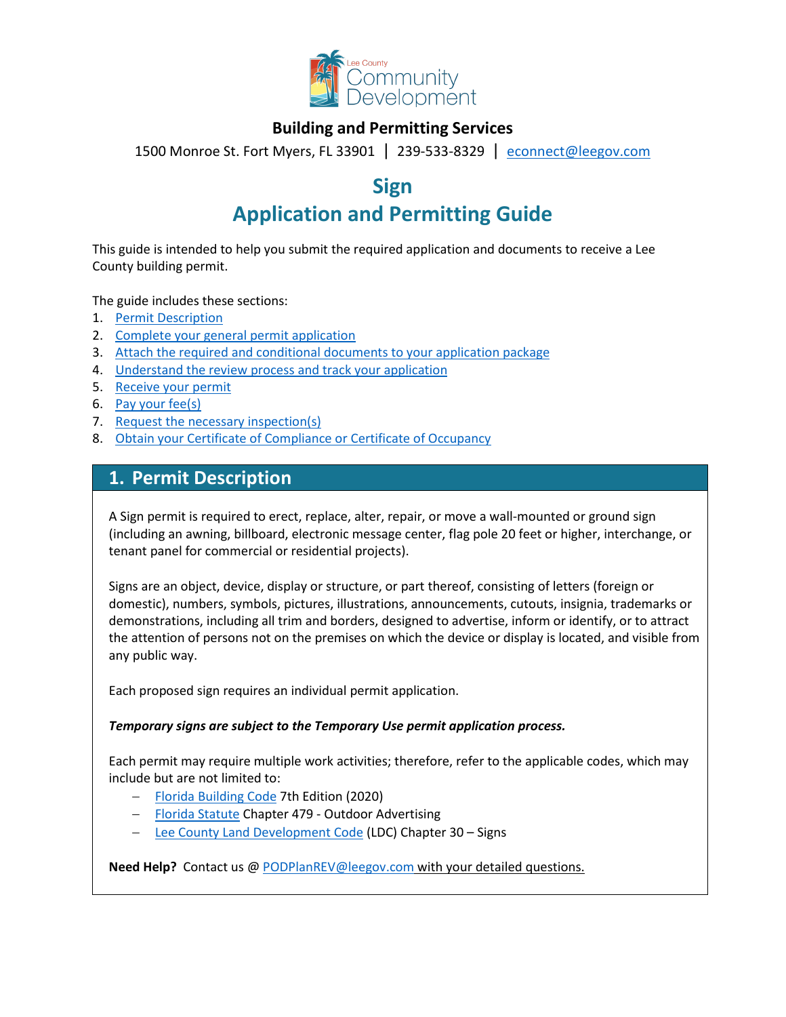

## **Building and Permitting Services**

1500 Monroe St. Fort Myers, FL 33901 | 239-533-8329 |[econnect@leegov.com](mailto:econnect@leegov.com)

## **Sign**

# **Application and Permitting Guide**

This guide is intended to help you submit the required application and documents to receive a Lee County building permit.

The guide includes these sections:

- 1. [Permit Description](#page-0-0)
- 2. [Complete your general permit application](#page-1-0)
- 3. [Attach the required and conditional documents to your application package](#page-3-0)
- 4. [Understand the review process and track your application](#page-6-0)
- 5. [Receive your permit](#page-6-1)
- 6. [Pay your fee\(s\)](#page-7-0)
- 7. [Request the necessary inspection\(s\)](#page-7-1)
- 8. [Obtain your Certificate of Compliance or Certificate of Occupancy](#page-8-0)

## <span id="page-0-0"></span>**1. Permit Description**

A Sign permit is required to erect, replace, alter, repair, or move a wall-mounted or ground sign (including an awning, billboard, electronic message center, flag pole 20 feet or higher, interchange, or tenant panel for commercial or residential projects).

Signs are an object, device, display or structure, or part thereof, consisting of letters (foreign or domestic), numbers, symbols, pictures, illustrations, announcements, cutouts, insignia, trademarks or demonstrations, including all trim and borders, designed to advertise, inform or identify, or to attract the attention of persons not on the premises on which the device or display is located, and visible from any public way.

Each proposed sign requires an individual permit application.

#### *Temporary signs are subject to the Temporary Use permit application process.*

Each permit may require multiple work activities; therefore, refer to the applicable codes, which may include but are not limited to:

- − [Florida Building Code](https://codes.iccsafe.org/codes/florida) 7th Edition (2020)
- − [Florida Statute](http://www.leg.state.fl.us/Statutes/index.cfm?Mode=View%20Statutes&Submenu=1&Tab=statutes) Chapter 479 Outdoor Advertising
- − [Lee County Land Development Code](https://library.municode.com/fl/lee_county/codes/land_development_code?nodeId=LADECOLECOFL) (LDC) Chapter 30 Signs

**Need Help?** Contact us @ [PODPlanREV@leegov.com](mailto:PODPlanREV@leegov.com) with your detailed questions.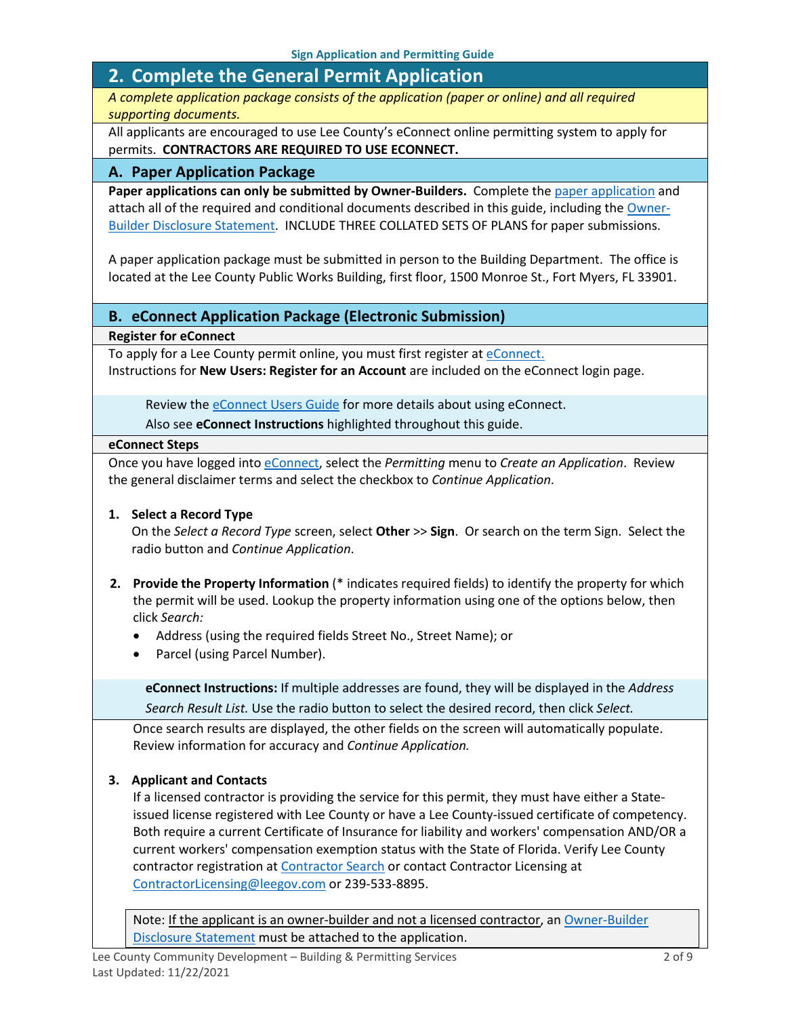## <span id="page-1-0"></span>**2. Complete the General Permit Application**

*A complete application package consists of the application (paper or online) and all required supporting documents.*

All applicants are encouraged to use Lee County's eConnect online permitting system to apply for permits. **CONTRACTORS ARE REQUIRED TO USE ECONNECT.**

#### **A. Paper Application Package**

Paper applications can only be submitted by Owner-Builders. Complete the [paper application](https://www.leegov.com/dcd/PermittingDocs/SignPermitApplication.pdf) and attach all of the required and conditional documents described in this guide, including the [Owner-](https://www.leegov.com/dcd/PermittingDocs/OwnerBldrDisclosure.pdf)[Builder Disclosure Statement.](https://www.leegov.com/dcd/PermittingDocs/OwnerBldrDisclosure.pdf) INCLUDE THREE COLLATED SETS OF PLANS for paper submissions.

A paper application package must be submitted in person to the Building Department. The office is located at the Lee County Public Works Building, first floor, 1500 Monroe St., Fort Myers, FL 33901.

#### **B. eConnect Application Package (Electronic Submission)**

**Register for eConnect**

To apply for a Lee County permit online, you must first register at [eConnect.](https://accelaaca.leegov.com/aca/) Instructions for **New Users: Register for an Account** are included on the eConnect login page.

Review th[e eConnect Users Guide](https://www.leegov.com/dcd/Documents/eServ/eConnect/eServicesGuide.pdf) for more details about using eConnect.

Also see **eConnect Instructions** highlighted throughout this guide.

#### **eConnect Steps**

Once you have logged into [eConnect,](https://accelaaca.leegov.com/aca/) select the *Permitting* menu to *Create an Application*. Review the general disclaimer terms and select the checkbox to *Continue Application*.

#### **1. Select a Record Type**

On the *Select a Record Type* screen, select **Other** >> **Sign**. Or search on the term Sign. Select the radio button and *Continue Application*.

- **2. Provide the Property Information** (\* indicates required fields) to identify the property for which the permit will be used. Lookup the property information using one of the options below, then click *Search:*
	- Address (using the required fields Street No., Street Name); or
	- Parcel (using Parcel Number).

**eConnect Instructions:** If multiple addresses are found, they will be displayed in the *Address Search Result List.* Use the radio button to select the desired record, then click *Select.*

Once search results are displayed, the other fields on the screen will automatically populate. Review information for accuracy and *Continue Application.*

#### **3. Applicant and Contacts**

If a licensed contractor is providing the service for this permit, they must have either a Stateissued license registered with Lee County or have a Lee County-issued certificate of competency. Both require a current Certificate of Insurance for liability and workers' compensation AND/OR a current workers' compensation exemption status with the State of Florida. Verify Lee County contractor registration at **Contractor Search** or contact Contractor Licensing at [ContractorLicensing@leegov.com](mailto:ContractorLicensing@leegov.com) or 239-533-8895.

Note: If the applicant is an owner-builder and not a licensed contractor, an Owner-Builder [Disclosure Statement](https://www.leegov.com/dcd/PermittingDocs/OwnerBldrDisclosure.pdf) must be attached to the application.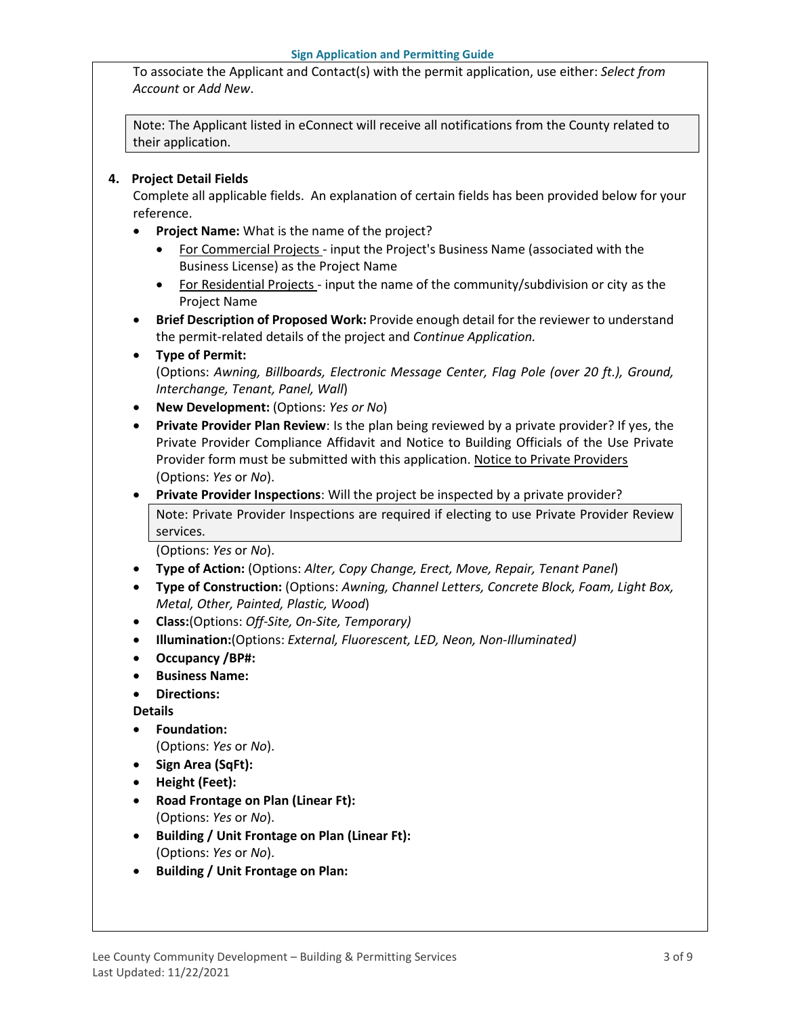To associate the Applicant and Contact(s) with the permit application, use either: *Select from Account* or *Add New*.

Note: The Applicant listed in eConnect will receive all notifications from the County related to their application.

#### **4. Project Detail Fields**

Complete all applicable fields. An explanation of certain fields has been provided below for your reference.

- **Project Name:** What is the name of the project?
	- For Commercial Projects input the Project's Business Name (associated with the Business License) as the Project Name
	- For Residential Projects input the name of the community/subdivision or city as the Project Name
- **Brief Description of Proposed Work:** Provide enough detail for the reviewer to understand the permit-related details of the project and *Continue Application.*
- **Type of Permit:**

(Options: *Awning, Billboards, Electronic Message Center, Flag Pole (over 20 ft.), Ground, Interchange, Tenant, Panel, Wall*)

- **New Development:** (Options: *Yes or No*)
- **Private Provider Plan Review**: Is the plan being reviewed by a private provider? If yes, the Private Provider Compliance Affidavit and Notice to Building Officials of the Use Private Provider form must be submitted with this application. [Notice to Private Providers](https://www.floridabuilding.org/fbc/committees/Private_Providers/Private_Providers.htm) (Options: *Yes* or *No*).
- **Private Provider Inspections**: Will the project be inspected by a private provider?

Note: Private Provider Inspections are required if electing to use Private Provider Review services.

(Options: *Yes* or *No*).

- **Type of Action:** (Options: *Alter, Copy Change, Erect, Move, Repair, Tenant Panel*)
- **Type of Construction:** (Options: *Awning, Channel Letters, Concrete Block, Foam, Light Box, Metal, Other, Painted, Plastic, Wood*)
- **Class:**(Options: *Off-Site, On-Site, Temporary)*
- **Illumination:**(Options: *External, Fluorescent, LED, Neon, Non-Illuminated)*
- **Occupancy /BP#:**
- **Business Name:**
- **Directions:**

**Details**

• **Foundation:**

(Options: *Yes* or *No*).

- **Sign Area (SqFt):**
- **Height (Feet):**
- **Road Frontage on Plan (Linear Ft):**  (Options: *Yes* or *No*).
- **Building / Unit Frontage on Plan (Linear Ft):**  (Options: *Yes* or *No*).
- **Building / Unit Frontage on Plan:**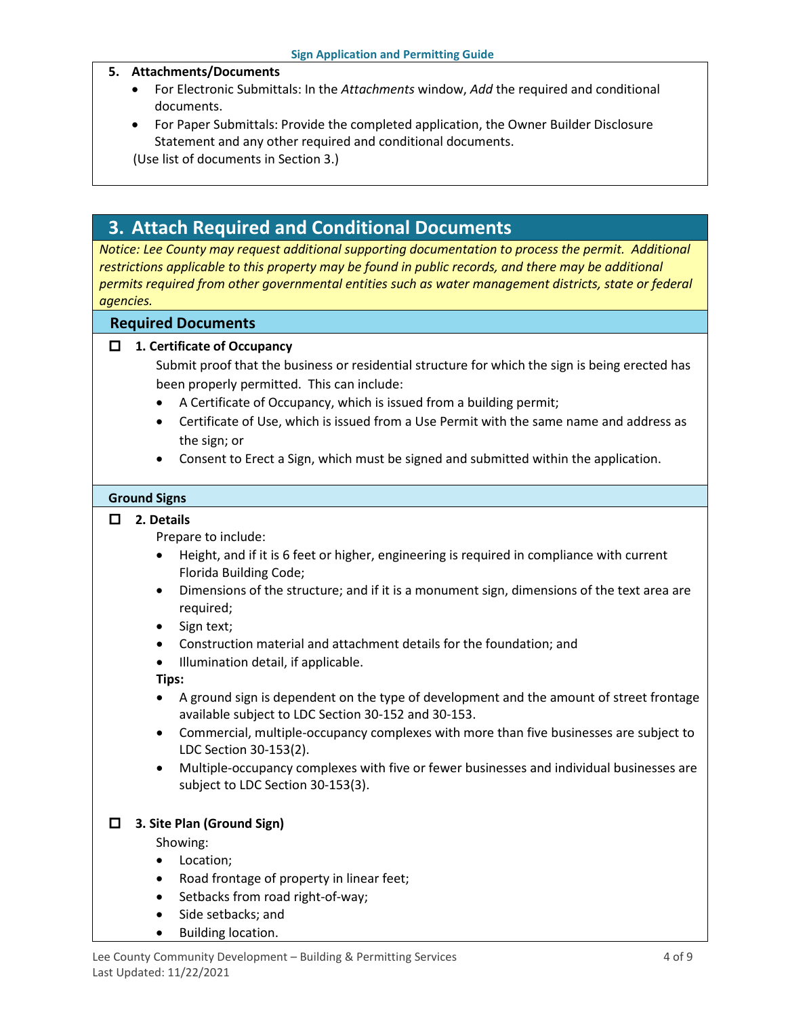#### **5. Attachments/Documents**

- For Electronic Submittals: In the *Attachments* window, *Add* the required and conditional documents.
- For Paper Submittals: Provide the completed application, the Owner Builder Disclosure Statement and any other required and conditional documents.

(Use list of documents in Section 3.)

## <span id="page-3-0"></span>**3. Attach Required and Conditional Documents**

*Notice: Lee County may request additional supporting documentation to process the permit. Additional restrictions applicable to this property may be found in public records, and there may be additional permits required from other governmental entities such as water management districts, state or federal agencies.*

#### **Required Documents**

#### **1. Certificate of Occupancy**

Submit proof that the business or residential structure for which the sign is being erected has been properly permitted. This can include:

- A Certificate of Occupancy, which is issued from a building permit;
- Certificate of Use, which is issued from a Use Permit with the same name and address as the sign; or
- Consent to Erect a Sign, which must be signed and submitted within the application.

#### **Ground Signs**

#### **2. Details**

Prepare to include:

- Height, and if it is 6 feet or higher, engineering is required in compliance with current Florida Building Code;
- Dimensions of the structure; and if it is a monument sign, dimensions of the text area are required;
- Sign text;
- Construction material and attachment details for the foundation; and
- Illumination detail, if applicable.

**Tips:**

- A ground sign is dependent on the type of development and the amount of street frontage available subject to LDC Section 30-152 and 30-153.
- Commercial, multiple-occupancy complexes with more than five businesses are subject to LDC Section 30-153(2).
- Multiple-occupancy complexes with five or fewer businesses and individual businesses are subject to LDC Section 30-153(3).

### **3. Site Plan (Ground Sign)**

Showing:

- Location;
- Road frontage of property in linear feet;
- Setbacks from road right-of-way;
- Side setbacks; and
- Building location.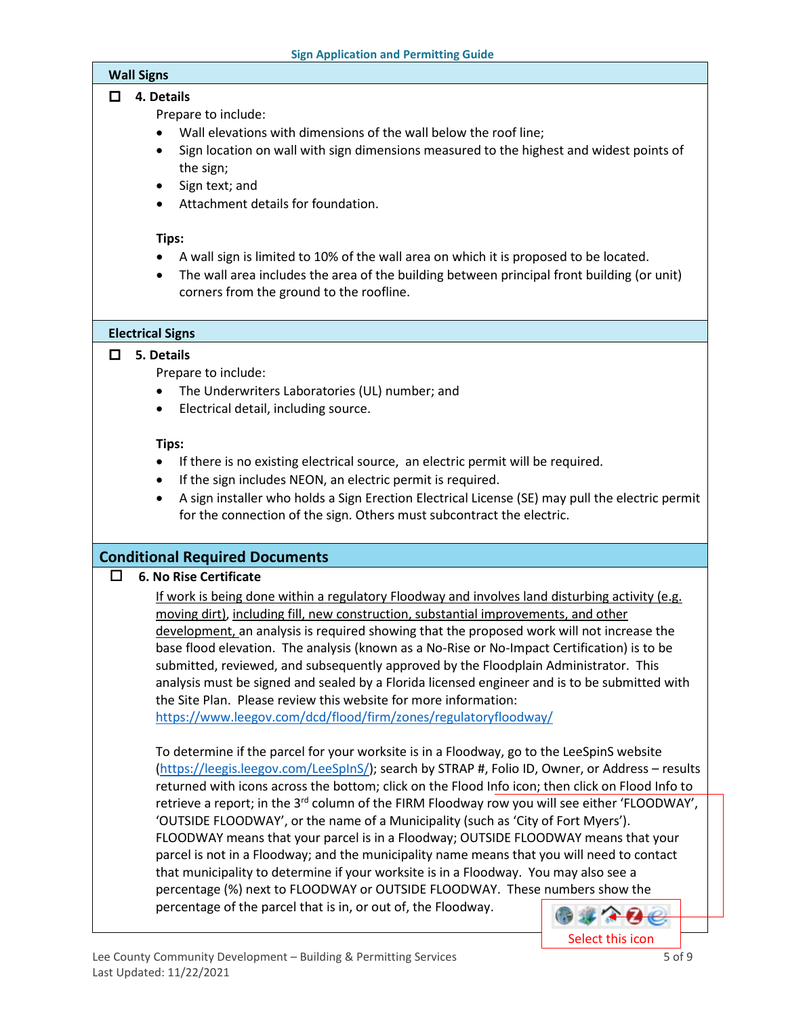#### **Wall Signs**

#### **4. Details**

Prepare to include:

- Wall elevations with dimensions of the wall below the roof line;
- Sign location on wall with sign dimensions measured to the highest and widest points of the sign;
- Sign text; and
- Attachment details for foundation.

#### **Tips:**

- A wall sign is limited to 10% of the wall area on which it is proposed to be located.
- The wall area includes the area of the building between principal front building (or unit) corners from the ground to the roofline.

### **Electrical Signs**

### **5. Details**

Prepare to include:

- The Underwriters Laboratories (UL) number; and
- Electrical detail, including source.

### **Tips:**

- If there is no existing electrical source, an electric permit will be required.
- If the sign includes NEON, an electric permit is required.
- A sign installer who holds a Sign Erection Electrical License (SE) may pull the electric permit for the connection of the sign. Others must subcontract the electric.

## **Conditional Required Documents**

### **6. No Rise Certificate**

If work is being done within a regulatory Floodway and involves land disturbing activity (e.g. moving dirt), including fill, new construction, substantial improvements, and other development, an analysis is required showing that the proposed work will not increase the base flood elevation. The analysis (known as a No-Rise or No-Impact Certification) is to be submitted, reviewed, and subsequently approved by the Floodplain Administrator. This analysis must be signed and sealed by a Florida licensed engineer and is to be submitted with the Site Plan. Please review this website for more information:

<https://www.leegov.com/dcd/flood/firm/zones/regulatoryfloodway/>

To determine if the parcel for your worksite is in a Floodway, go to the LeeSpinS website [\(https://leegis.leegov.com/LeeSpInS/\)](https://leegis.leegov.com/LeeSpInS/); search by STRAP #, Folio ID, Owner, or Address – results returned with icons across the bottom; click on the Flood Info icon; then click on Flood Info to retrieve a report; in the 3<sup>rd</sup> column of the FIRM Floodway row you will see either 'FLOODWAY', 'OUTSIDE FLOODWAY', or the name of a Municipality (such as 'City of Fort Myers'). FLOODWAY means that your parcel is in a Floodway; OUTSIDE FLOODWAY means that your parcel is not in a Floodway; and the municipality name means that you will need to contact that municipality to determine if your worksite is in a Floodway. You may also see a percentage (%) next to FLOODWAY or OUTSIDE FLOODWAY. These numbers show the percentage of the parcel that is in, or out of, the Floodway. ● 葉 ← 74

Select this icon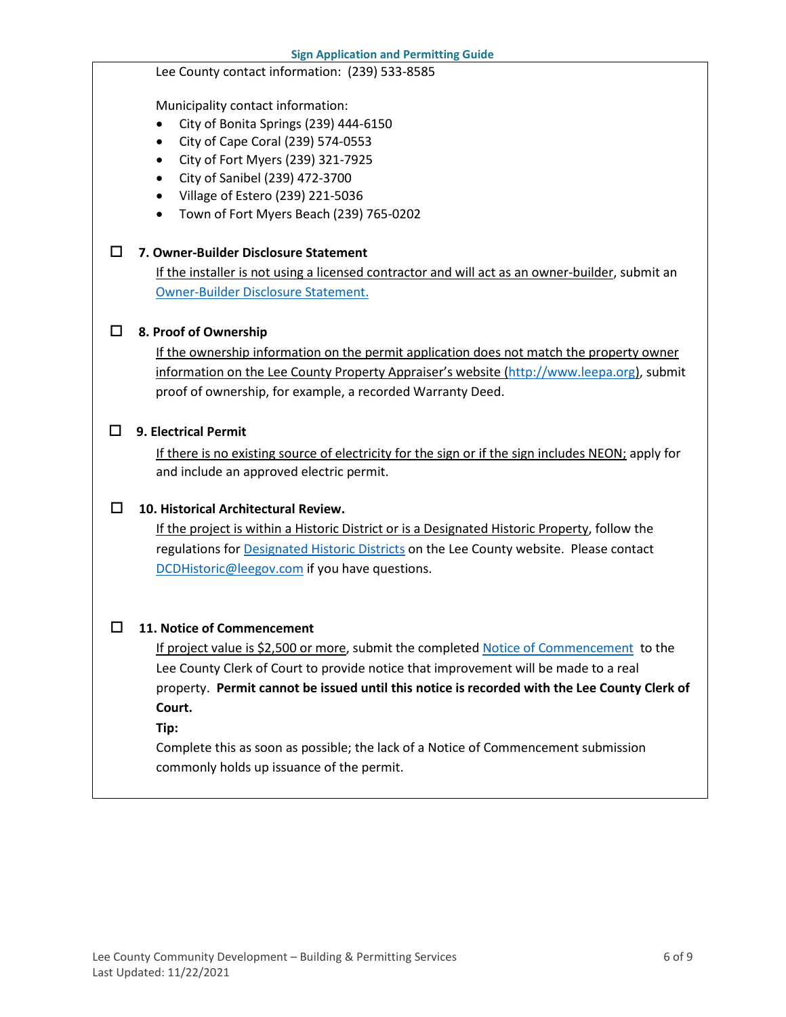Lee County contact information: (239) 533-8585

Municipality contact information:

• City of Bonita Springs (239) 444-6150

• City of Cape Coral (239) 574-0553 • City of Fort Myers (239) 321-7925 • City of Sanibel (239) 472-3700 • Village of Estero (239) 221-5036 • Town of Fort Myers Beach (239) 765-0202 **7. Owner-Builder Disclosure Statement** If the installer is not using a licensed contractor and will act as an owner-builder, submit an [Owner-Builder Disclosure Statement.](https://www.leegov.com/dcd/PermittingDocs/OwnerBldrDisclosure.pdf) **8. Proof of Ownership** If the ownership information on the permit application does not match the property owner information on the Lee County Property Appraiser's website [\(http://www.leepa.org\)](http://www.leepa.org/), submit proof of ownership, for example, a recorded Warranty Deed. **9. Electrical Permit** If there is no existing source of electricity for the sign or if the sign includes NEON; apply for and include an approved electric permit. **10. Historical Architectural Review.**  If the project is within a Historic District or is a Designated Historic Property, follow the regulations for **Designated Historic Districts** on the Lee County website. Please contact [DCDHistoric@leegov.com](mailto:DCDHistoric@leegov.com) if you have questions. **11. Notice of Commencement** If project value is \$2,500 or more, submit the completed [Notice of Commencement](https://www.leegov.com/dcd/PermittingDocs/NoticeofCommencement.pdf) to the Lee County Clerk of Court to provide notice that improvement will be made to a real property. **Permit cannot be issued until this notice is recorded with the Lee County Clerk of Court. Tip:** Complete this as soon as possible; the lack of a Notice of Commencement submission commonly holds up issuance of the permit.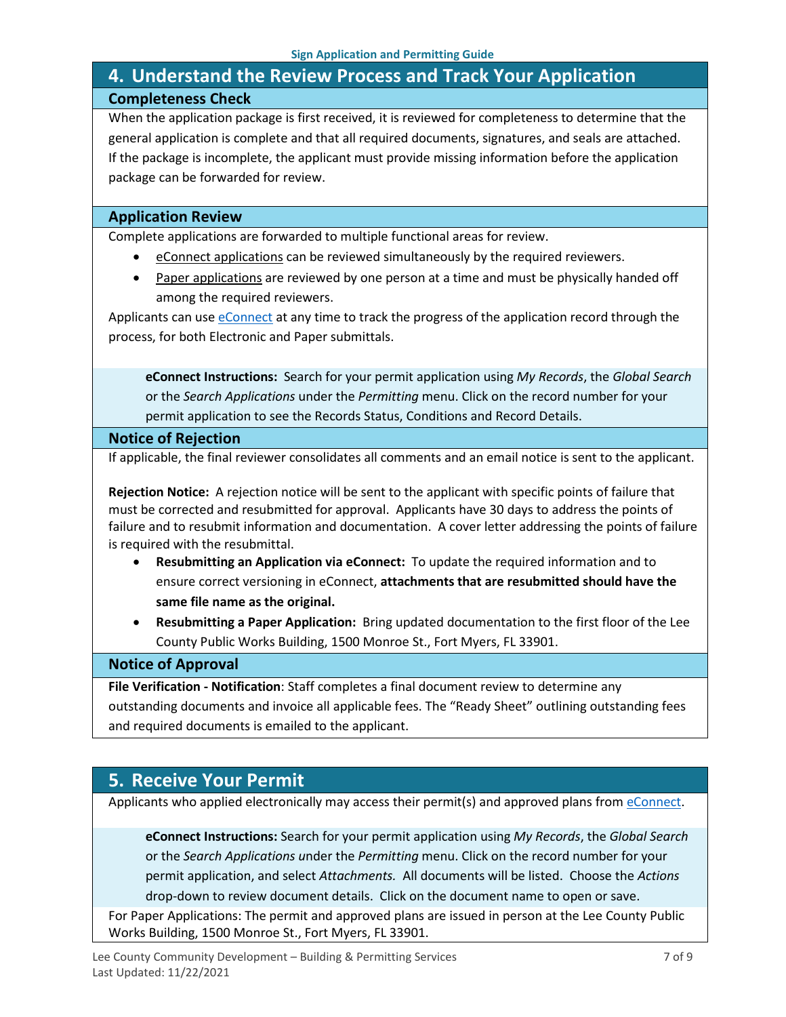## <span id="page-6-0"></span>**4. Understand the Review Process and Track Your Application Completeness Check**

When the application package is first received, it is reviewed for completeness to determine that the general application is complete and that all required documents, signatures, and seals are attached. If the package is incomplete, the applicant must provide missing information before the application package can be forwarded for review.

#### **Application Review**

Complete applications are forwarded to multiple functional areas for review.

- eConnect applications can be reviewed simultaneously by the required reviewers.
- Paper applications are reviewed by one person at a time and must be physically handed off among the required reviewers.

Applicants can use [eConnect](https://accelaaca.leegov.com/aca/) at any time to track the progress of the application record through the process, for both Electronic and Paper submittals.

**eConnect Instructions:** Search for your permit application using *My Records*, the *Global Search* or the *Search Applications* under the *Permitting* menu. Click on the record number for your permit application to see the Records Status, Conditions and Record Details.

#### **Notice of Rejection**

If applicable, the final reviewer consolidates all comments and an email notice is sent to the applicant.

**Rejection Notice:** A rejection notice will be sent to the applicant with specific points of failure that must be corrected and resubmitted for approval. Applicants have 30 days to address the points of failure and to resubmit information and documentation. A cover letter addressing the points of failure is required with the resubmittal.

- **Resubmitting an Application via eConnect:** To update the required information and to ensure correct versioning in eConnect, **attachments that are resubmitted should have the same file name as the original.**
- **Resubmitting a Paper Application:** Bring updated documentation to the first floor of the Lee County Public Works Building, 1500 Monroe St., Fort Myers, FL 33901.

#### **Notice of Approval**

**File Verification - Notification**: Staff completes a final document review to determine any outstanding documents and invoice all applicable fees. The "Ready Sheet" outlining outstanding fees and required documents is emailed to the applicant.

## <span id="page-6-1"></span>**5. Receive Your Permit**

Applicants who applied electronically may access their permit(s) and approved plans from [eConnect.](https://accelaaca.leegov.com/aca/)

**eConnect Instructions:** Search for your permit application using *My Records*, the *Global Search* or the *Search Applications u*nder the *Permitting* menu. Click on the record number for your permit application, and select *Attachments.* All documents will be listed. Choose the *Actions*  drop-down to review document details. Click on the document name to open or save.

For Paper Applications: The permit and approved plans are issued in person at the Lee County Public Works Building, 1500 Monroe St., Fort Myers, FL 33901.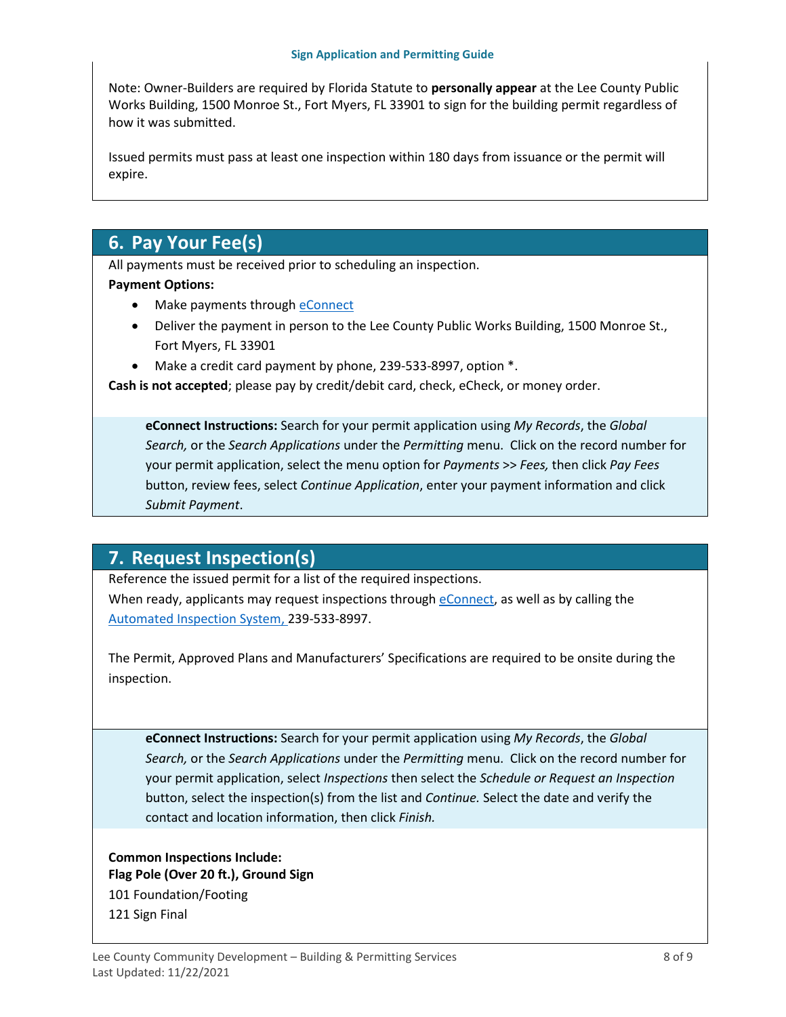Note: Owner-Builders are required by Florida Statute to **personally appear** at the Lee County Public Works Building, 1500 Monroe St., Fort Myers, FL 33901 to sign for the building permit regardless of how it was submitted.

Issued permits must pass at least one inspection within 180 days from issuance or the permit will expire.

## <span id="page-7-0"></span>**6. Pay Your Fee(s)**

All payments must be received prior to scheduling an inspection.

#### **Payment Options:**

- Make payments through [eConnect](https://accelaaca.leegov.com/aca/)
- Deliver the payment in person to the Lee County Public Works Building, 1500 Monroe St., Fort Myers, FL 33901
- Make a credit card payment by phone, 239-533-8997, option \*.

**Cash is not accepted**; please pay by credit/debit card, check, eCheck, or money order.

**eConnect Instructions:** Search for your permit application using *My Records*, the *Global Search,* or the *Search Applications* under the *Permitting* menu. Click on the record number for your permit application, select the menu option for *Payments* >> *Fees,* then click *Pay Fees*  button, review fees, select *Continue Application*, enter your payment information and click *Submit Payment*.

## <span id="page-7-1"></span>**7. Request Inspection(s)**

Reference the issued permit for a list of the required inspections.

When ready, applicants may request inspections through [eConnect,](https://accelaaca.leegov.com/aca/) as well as by calling the [Automated Inspection System,](https://www.leegov.com/dcd/BldPermitServ/Insp/AutoInsp) 239-533-8997.

The Permit, Approved Plans and Manufacturers' Specifications are required to be onsite during the inspection.

**eConnect Instructions:** Search for your permit application using *My Records*, the *Global Search,* or the *Search Applications* under the *Permitting* menu. Click on the record number for your permit application, select *Inspections* then select the *Schedule or Request an Inspection* button, select the inspection(s) from the list and *Continue.* Select the date and verify the contact and location information, then click *Finish.*

### **Common Inspections Include: Flag Pole (Over 20 ft.), Ground Sign** 101 Foundation/Footing 121 Sign Final